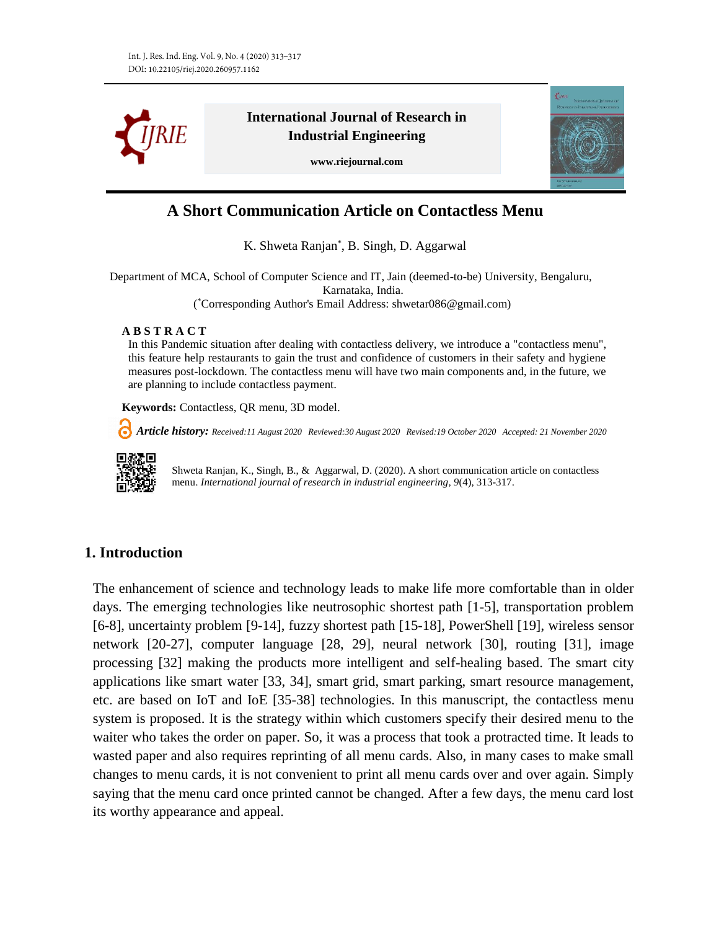

**International Journal of Research in Industrial Engineering**

**www.riejournal.com**



# **A Short Communication Article on Contactless Menu**

K. Shweta Ranjan\* , B. Singh, D. Aggarwal

Department of MCA, School of Computer Science and IT, Jain (deemed-to-be) University, Bengaluru, Karnataka, India. ( \*Corresponding Author's Email Address: shwetar086@gmail.com)

#### **A B S T R A C T**

In this Pandemic situation after dealing with contactless delivery, we introduce a "contactless menu", this feature help restaurants to gain the trust and confidence of customers in their safety and hygiene measures post-lockdown. The contactless menu will have two main components and, in the future, we are planning to include contactless payment.

**Keywords:** Contactless, QR menu, 3D model.

 *Article history: Received:11 August 2020 Reviewed:30 August 2020 Revised:19 October 2020 Accepted: 21 November 2020*



Shweta Ranjan, K., Singh, B., & Aggarwal, D. (2020). A short communication article on contactless menu. *International journal of research in industrial engineering, 9*(4), 313-317.

## **1. Introduction**

The enhancement of science and technology leads to make life more comfortable than in older days. The emerging technologies like neutrosophic shortest path [1-5], transportation problem [6-8], uncertainty problem [9-14], fuzzy shortest path [15-18], PowerShell [19], wireless sensor network [20-27], computer language [28, 29], neural network [30], routing [31], image processing [32] making the products more intelligent and self-healing based. The smart city applications like smart water [33, 34], smart grid, smart parking, smart resource management, etc. are based on IoT and IoE [35-38] technologies. In this manuscript, the contactless menu system is proposed. It is the strategy within which customers specify their desired menu to the waiter who takes the order on paper. So, it was a process that took a protracted time. It leads to wasted paper and also requires reprinting of all menu cards. Also, in many cases to make small changes to menu cards, it is not convenient to print all menu cards over and over again. Simply saying that the menu card once printed cannot be changed. After a few days, the menu card lost its worthy appearance and appeal.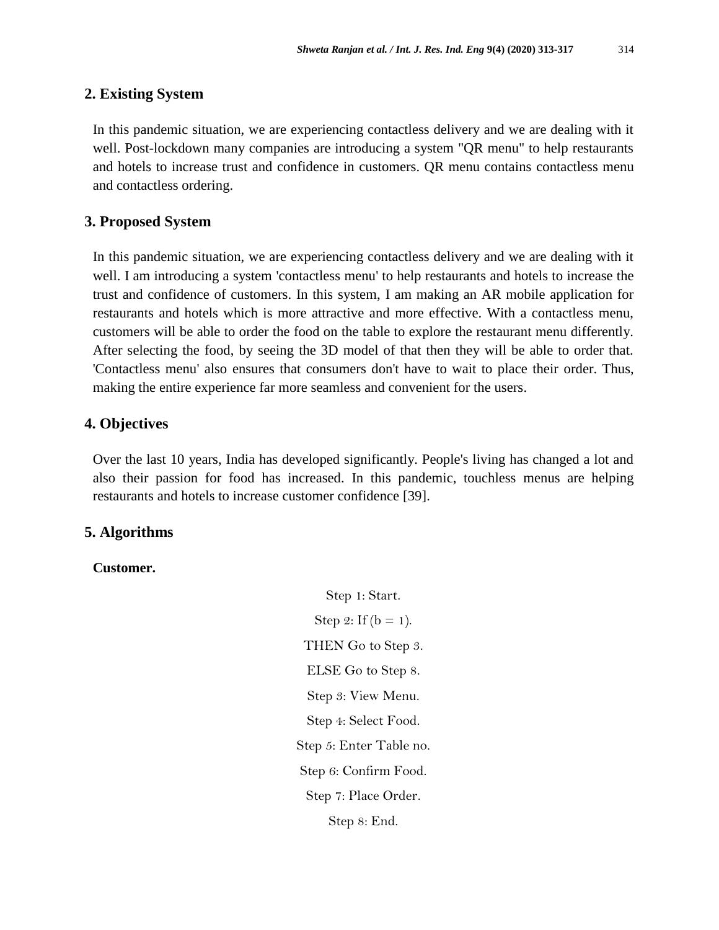#### **2. Existing System**

In this pandemic situation, we are experiencing contactless delivery and we are dealing with it well. Post-lockdown many companies are introducing a system "QR menu" to help restaurants and hotels to increase trust and confidence in customers. QR menu contains contactless menu and contactless ordering.

#### **3. Proposed System**

In this pandemic situation, we are experiencing contactless delivery and we are dealing with it well. I am introducing a system 'contactless menu' to help restaurants and hotels to increase the trust and confidence of customers. In this system, I am making an AR mobile application for restaurants and hotels which is more attractive and more effective. With a contactless menu, customers will be able to order the food on the table to explore the restaurant menu differently. After selecting the food, by seeing the 3D model of that then they will be able to order that. 'Contactless menu' also ensures that consumers don't have to wait to place their order. Thus, making the entire experience far more seamless and convenient for the users.

## **4. Objectives**

Over the last 10 years, India has developed significantly. People's living has changed a lot and also their passion for food has increased. In this pandemic, touchless menus are helping restaurants and hotels to increase customer confidence [39].

#### **5. Algorithms**

#### **Customer.**

Step 1: Start. Step 2: If  $(b = 1)$ . THEN Go to Step 3. ELSE Go to Step 8. Step 3: View Menu. Step 4: Select Food. Step 5: Enter Table no. Step 6: Confirm Food. Step 7: Place Order. Step 8: End.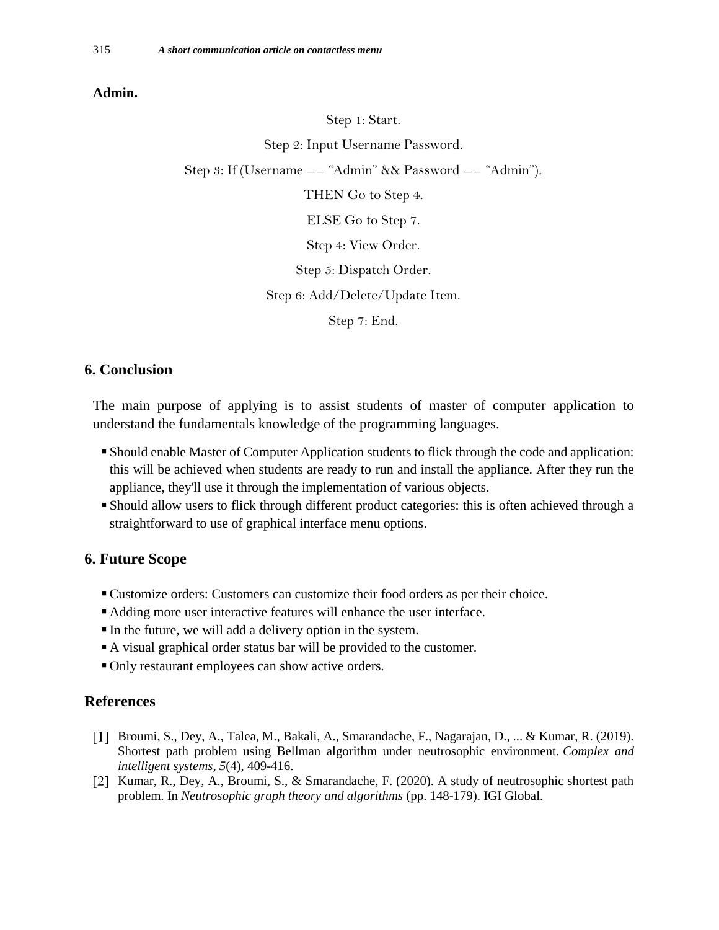#### **Admin.**

Step 1: Start.

Step 2: Input Username Password.

Step 3: If (Username == "Admin" && Password == "Admin").

THEN Go to Step 4.

ELSE Go to Step 7.

Step 4: View Order.

Step 5: Dispatch Order.

Step 6: Add/Delete/Update Item.

Step 7: End.

## **6. Conclusion**

The main purpose of applying is to assist students of master of computer application to understand the fundamentals knowledge of the programming languages.

- Should enable Master of Computer Application students to flick through the code and application: this will be achieved when students are ready to run and install the appliance. After they run the appliance, they'll use it through the implementation of various objects.
- Should allow users to flick through different product categories: this is often achieved through a straightforward to use of graphical interface menu options.

#### **6. Future Scope**

- Customize orders: Customers can customize their food orders as per their choice.
- Adding more user interactive features will enhance the user interface.
- In the future, we will add a delivery option in the system.
- A visual graphical order status bar will be provided to the customer.
- Only restaurant employees can show active orders.

#### **References**

- Broumi, S., Dey, A., Talea, M., Bakali, A., Smarandache, F., Nagarajan, D., ... & Kumar, R. (2019). Shortest path problem using Bellman algorithm under neutrosophic environment. *Complex and intelligent systems*, *5*(4), 409-416.
- [2] Kumar, R., Dey, A., Broumi, S., & Smarandache, F. (2020). A study of neutrosophic shortest path problem. In *Neutrosophic graph theory and algorithms* (pp. 148-179). IGI Global.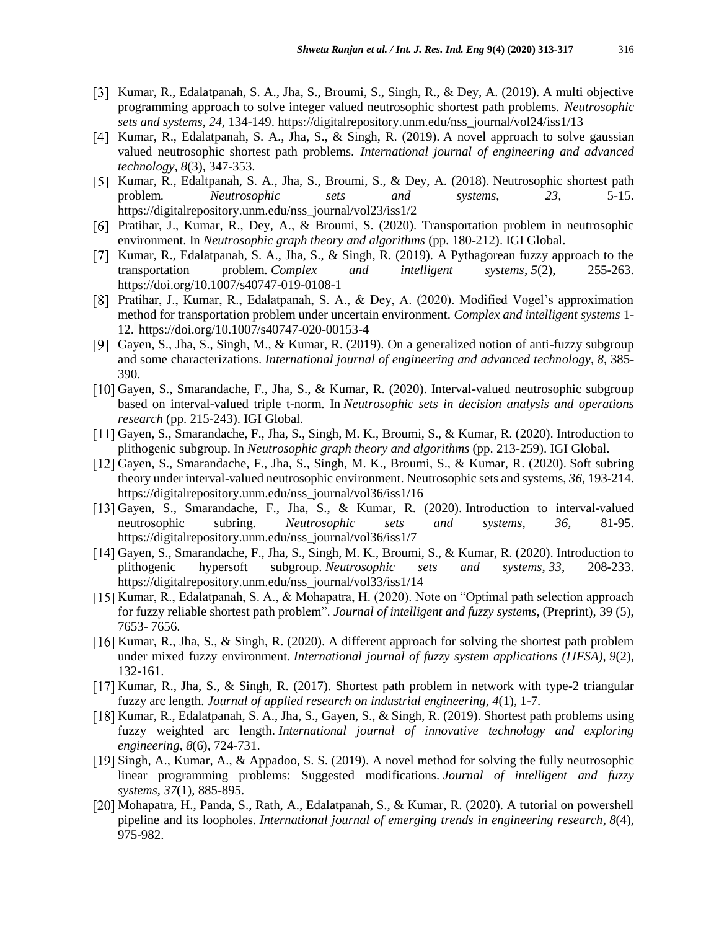- [3] Kumar, R., Edalatpanah, S. A., Jha, S., Broumi, S., Singh, R., & Dey, A. (2019). A multi objective programming approach to solve integer valued neutrosophic shortest path problems. *Neutrosophic sets and systems*, *24,* 134-149. https://digitalrepository.unm.edu/nss\_journal/vol24/iss1/13
- [4] Kumar, R., Edalatpanah, S. A., Jha, S., & Singh, R. (2019). A novel approach to solve gaussian valued neutrosophic shortest path problems. *International journal of engineering and advanced technology, 8*(3)*,* 347-353.
- [5] Kumar, R., Edaltpanah, S. A., Jha, S., Broumi, S., & Dey, A. (2018). Neutrosophic shortest path problem*. Neutrosophic sets and systems*, *23,* 5-15. https://digitalrepository.unm.edu/nss\_journal/vol23/iss1/2
- [6] Pratihar, J., Kumar, R., Dey, A., & Broumi, S. (2020). Transportation problem in neutrosophic environment. In *Neutrosophic graph theory and algorithms* (pp. 180-212). IGI Global.
- [7] Kumar, R., Edalatpanah, S. A., Jha, S., & Singh, R. (2019). A Pythagorean fuzzy approach to the transportation problem. *Complex and intelligent systems*, *5*(2), 255-263. <https://doi.org/10.1007/s40747-019-0108-1>
- Pratihar, J., Kumar, R., Edalatpanah, S. A., & Dey, A. (2020). Modified Vogel's approximation method for transportation problem under uncertain environment. *Complex and intelligent systems* 1- 12. <https://doi.org/10.1007/s40747-020-00153-4>
- [9] Gayen, S., Jha, S., Singh, M., & Kumar, R. (2019). On a generalized notion of anti-fuzzy subgroup and some characterizations. *International journal of engineering and advanced technology*, *8*, 385- 390.
- [10] Gayen, S., Smarandache, F., Jha, S., & Kumar, R. (2020). Interval-valued neutrosophic subgroup based on interval-valued triple t-norm. In *Neutrosophic sets in decision analysis and operations research* (pp. 215-243). IGI Global.
- [11] Gayen, S., Smarandache, F., Jha, S., Singh, M. K., Broumi, S., & Kumar, R. (2020). Introduction to plithogenic subgroup. In *Neutrosophic graph theory and algorithms* (pp. 213-259). IGI Global.
- [12] Gayen, S., Smarandache, F., Jha, S., Singh, M. K., Broumi, S., & Kumar, R. (2020). Soft subring theory under interval-valued neutrosophic environment. Neutrosophic sets and systems, *36,* 193-214. https://digitalrepository.unm.edu/nss\_journal/vol36/iss1/16
- [13] Gayen, S., Smarandache, F., Jha, S., & Kumar, R. (2020). Introduction to interval-valued neutrosophic subring*. Neutrosophic sets and systems, 36,* 81-95. https://digitalrepository.unm.edu/nss\_journal/vol36/iss1/7
- [14] Gayen, S., Smarandache, F., Jha, S., Singh, M. K., Broumi, S., & Kumar, R. (2020). Introduction to plithogenic hypersoft subgroup. *Neutrosophic sets and systems*, *33*, 208-233. https://digitalrepository.unm.edu/nss\_journal/vol33/iss1/14
- [15] Kumar, R., Edalatpanah, S. A., & Mohapatra, H. (2020). Note on "Optimal path selection approach for fuzzy reliable shortest path problem". *Journal of intelligent and fuzzy systems*, (Preprint), 39 (5), 7653- 7656.
- [16] Kumar, R., Jha, S., & Singh, R. (2020). A different approach for solving the shortest path problem under mixed fuzzy environment. *International journal of fuzzy system applications (IJFSA)*, *9*(2), 132-161.
- $[17]$  Kumar, R., Jha, S., & Singh, R. (2017). Shortest path problem in network with type-2 triangular fuzzy arc length. *Journal of applied research on industrial engineering*, *4*(1), 1-7.
- [18] Kumar, R., Edalatpanah, S. A., Jha, S., Gayen, S., & Singh, R. (2019). Shortest path problems using fuzzy weighted arc length. *International journal of innovative technology and exploring engineering*, *8*(6), 724-731.
- [19] Singh, A., Kumar, A., & Appadoo, S. S. (2019). A novel method for solving the fully neutrosophic linear programming problems: Suggested modifications. *Journal of intelligent and fuzzy systems*, *37*(1), 885-895.
- [20] Mohapatra, H., Panda, S., Rath, A., Edalatpanah, S., & Kumar, R. (2020). A tutorial on powershell pipeline and its loopholes. *International journal of emerging trends in engineering research*, *8*(4), 975-982.